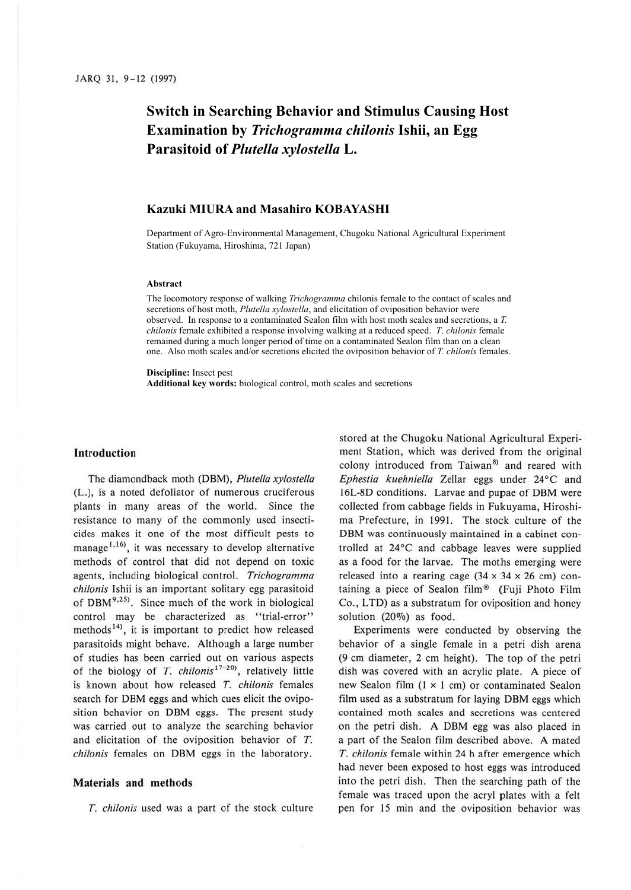# **Switch in Searching Behavior and Stimulus Causing Host Examination by** *Trichogramma chilonis* **Ishii, an Egg Parasitoid of** *Plutella xylostella* **L.**

## **Kazuki MIURA and Masahiro KOBAYASHI**

Department of Agro-Environmental Management, Chugoku National Agricultural Experiment Station (Fukuyama, Hiroshima, 721 Japan)

#### **Abstract**

The locomotory response of walking *Trichogramma* chilonis female to the contact of scales and secretions of host moth, *Plutella xylostella*, and elicitation of oviposition behavior were observed. In response to a contaminated Sealon film with host moth scales and secretions, a *T. chilonis* female exhibited a response involving walking at a reduced speed. *T*. *chilonis* female remained during a much longer period of time on a contaminated Sealon film than on a clean one. Also moth scales and/or secretions elicited the oviposition behavior of *T. chilonis* females.

**Discipline:** Insect pest

**Additional key words:** biological control, moth scales and secretions

### **Introduction**

The diamondback moth (DBM), *Piute/la xyloste/la*  (L.), is a noted defoliator of numerous cruciferous plants in many areas of the world. Since the resistance to many of the commonly used insecticides makes it one of the most difficult pests to manage<sup>1,16</sup>, it was necessary to develop alternative methods of control that did not depend on toxic agents, including biological control. *Trichogramma chilonis* Ishii is an important solitary egg parasitoid of DBM<sup>9,25)</sup>. Since much of the work in biological control may be characterized as "trial-error" methods<sup>14)</sup>, it is important to predict how released parasitoids might behave. Although a large number of studies has been carried out on various aspects of the biology of *T. chilonis*<sup>17-20</sup>, relatively little is known about how released *T. chilonis* females search for DBM eggs and which cues elicit the oviposition behavior on DBM eggs. The present study was carried out to analyze the searching behavior and elicitation of the oviposition behavior of T. *chilonis* females on DBM eggs in the laboratory.

#### **Materials and methods**

T. *chilonis* used was a part of the stock culture

stored at the Chugoku National Agricultural Experiment Station, which was derived from the original colony introduced from Taiwan<sup>8)</sup> and reared with *Ephestia kuehniella* Zellar eggs under 24°C and 16L-8D conditions. Larvae and pupae of DBM were collected from cabbage fields in Fukuyama, Hiroshima Prefecture, in 1991. The stock culture of the DBM was continuously maintained in a cabinet controlled at 24°C and cabbage leaves were supplied as a food for the larvae. The moths emerging were released into a rearing cage  $(34 \times 34 \times 26 \text{ cm})$  containing a piece of Sealon film® (Fuji Photo Film Co., LTD) as a substratum for oviposition and honey solution  $(20\%)$  as food.

Experiments were conducted by observing the behavior of a single female in a petri dish arena (9 cm diameter, 2 cm height). The top of the petri dish was covered with an acrylic plate. A piece of new Sealon film  $(1 \times 1$  cm) or contaminated Sealon film used as a substratum for laying DBM eggs which contained moth scales and secretions was centered on the petri dish. A DBM egg was also placed in a part of the Sealon film described above. A mated *T. chilonis* female within 24 h after emergence which had never been exposed to host eggs was introduced into the petri dish. Then the searching path of the female was traced upon the acryl plates with a felt pen for 15 min and the oviposition behavior was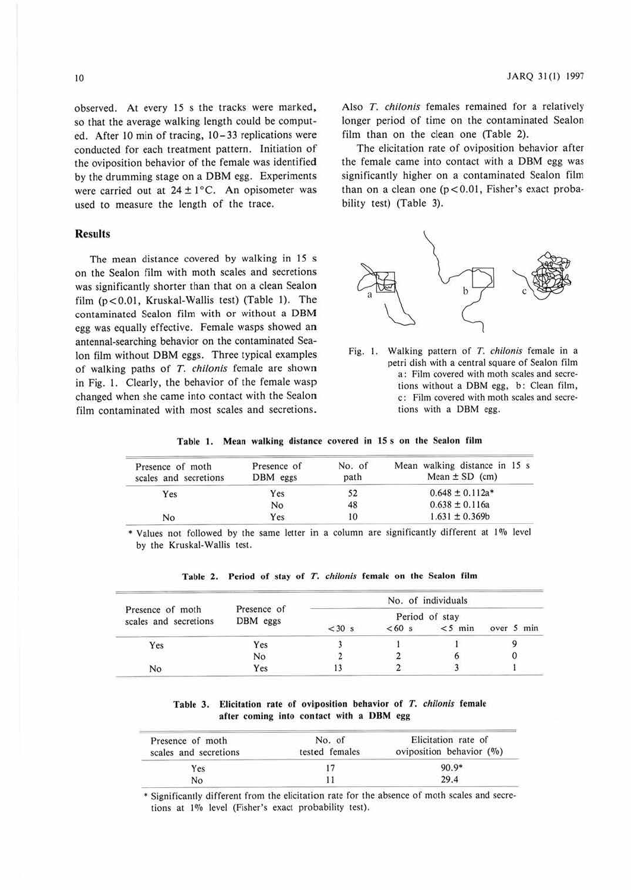observed. At every 15 s the tracks were marked, so that the average walking length could be computed. After 10 min of tracing, 10-33 replications were conducted for each treatment pattern. Initiation of the oviposition behavior of the female was identified by the drumming stage on a DBM egg. Experiments were carried out at  $24 \pm 1$ °C. An opisometer was used to measure the length of the trace.

## **Results**

The mean distance covered by walking in 15 **s**  on the Sealon film with moth scales and secretions was significantly shorter than that on a clean Sealon film (p < 0.0 I, Kruskal-Wallis test) (Table 1). The contaminated Sealon film with or without a DBM egg was equally effective. Female wasps showed an antennal-searching behavior on the contaminated Sea-Ion film without DBM eggs. Three typical examples of walking paths of *T. chilonis* female are shown in Fig. I. Clearly, the behavior of the female wasp changed when she came into contact with the Scalon film contaminated with most scales and secretions.

Also *T. chllonis* females remained for a relatively longer period of time on the contaminated Sealon film than on the clean one (Table 2).

The elicitation rate of oviposition behavior after the female came into contact with a DBM egg was significantly higher on a contaminated Sealon film than on a clean one ( $p < 0.01$ , Fisher's exact probability test) (Table 3).



Fig. 1. Walking pattern of T. chilonis female in a petri dish with a central square of Sealon film a: Film covered with moth scales and secretions without a DBM egg, b: Clean film, c: Film covered with moth scales and secretions with a DBM egg.

Table 1. Mean walking distance covered in 15 s on the Sealon film

| Presence of moth<br>scales and secretions | Presence of<br>DBM eggs | No. of<br>path | Mean walking distance in 15 s<br>Mean $\pm$ SD (cm) |  |  |
|-------------------------------------------|-------------------------|----------------|-----------------------------------------------------|--|--|
| Yes                                       | Yes                     | 52             | $0.648 \pm 0.112a*$                                 |  |  |
|                                           | N <sub>o</sub>          | 48             | $0.638 \pm 0.116a$                                  |  |  |
| No.                                       | Yes                     | 10             | $1.631 \pm 0.369b$                                  |  |  |

\* Values not followed by the same letter in a column are significantly different at 1% level by the Kruskal-Wallis test.

|                                           |                         | No. of individuals |         |           |            |
|-------------------------------------------|-------------------------|--------------------|---------|-----------|------------|
| Presence of moth<br>scales and secretions | Presence of<br>DBM eggs | Period of stay     |         |           |            |
|                                           |                         | $<$ 30 s           | $<60$ s | $<$ 5 min | over 5 min |
| Yes                                       | Yes                     |                    |         |           |            |
|                                           | No                      |                    |         |           |            |
| No                                        | Yes                     |                    |         |           |            |

Table 2. Period of stay of T. chilonis female on the Sealon film

Table 3. Elicitation rate of oviposition behavior of T. chilonis female after coming into contact with a DBM egg

| Presence of moth<br>scales and secretions | No. of<br>tested females | Elicitation rate of<br>oviposition behavior $(\%)$ |
|-------------------------------------------|--------------------------|----------------------------------------------------|
| Yes                                       |                          | $90.9*$                                            |
| No                                        |                          | 29.4                                               |

• Significantly different from the elicitarion rate for the absence of morh scales and secretions at 1% level (Fisher's exact probability test).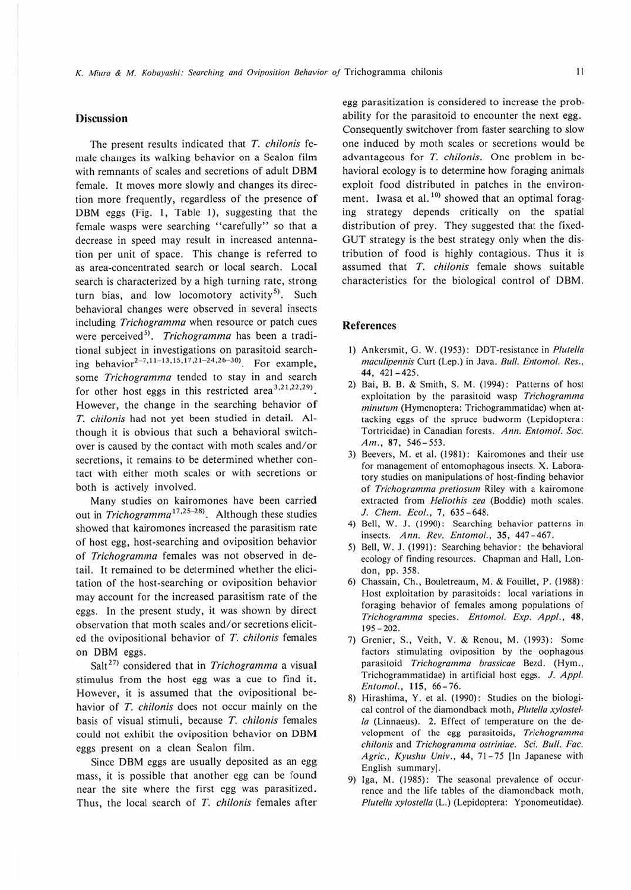## **Discussion**

The present results indicated that T. chilonis female changes its walking behavior on a Sealon film with remnants of scales and secretions of adult DBM female. It moves more slowly and changes its direction more frequently, regardless of the presence **of**  DBM eggs (Fig. I, Table I), suggesting that the female wasps were searching "carefully" so that **a**  decrease in speed may result in increased antennation per unit of space. This change is referred to as area-concentrated search or local search. Local search is characterized by a high turning rate, strong turn bias, and low locomotory activity<sup>5)</sup>. Such behavioral changes were observed in several insects including Trichogramma when resource or patch cues were perceived<sup>5)</sup>. Trichogramma has been a traditional subject in investigations on parasitoid searching behavior<sup>2-7,11-13,15,17,21-24,26-30</sup>. For example, some Trichogramma tended to stay in and search for other host eggs in this restricted area<sup>3,21,22,29</sup>). However, the change in the searching behavior of T. chilonis had not yet been studied in detail. Although it is obvious that such a behavioral switchover is caused by the contact with moth scales and/or secretions, it remains 10 be determined whether contact with either moth scales or with secretions or both is actively involved.

Many studies on kairomones have been carried out in Trichogramma<sup>17,25-28</sup>. Although these studies showed that kairomones increased the parasitism rate of host egg, host-searching and oviposition behavior of Trichogramma females was not observed in detail. It remained to be determined whether the elicitation of the host-searching or oviposition behavior may account for the increased parasitism rate of the eggs. In the present study, it was shown by direct observation that moth scales and/or secretions elicited the ovipositional behavior of T. chilonis females on DBM eggs.

Salt<sup>27)</sup> considered that in Trichogramma a visual stimulus from the host egg was a cue to find it. However, it is assumed that the ovipositional behavior of T. chilonis does not occur mainly on the basis of visual stimuli, because T. chilonis females could not exhibit the oviposition behavior on **DBM**  eggs present on a clean Sealon film.

Since DBM eggs are usually deposited as an egg mass, it is possible that another egg can be found near the site where the first egg was parasitized. Thus, the local search of T. chilonis females after

egg parasitization is considered 10 increase the probability for the parasitoid to encounter the next egg. Consequently switchover from faster searching to slow one induced by moth scales or secretions would be advantageous for T. chilonis. One problem in behavioral ecology is to determine how foraging animals exploit food distributed in patches in the environment. Iwasa et al. $10$ <sup>10)</sup> showed that an optimal foraging strategy depends critically on the spatial distribution of prey. They suggested that the fixed-GUT strategy is the best strategy only when the distribution of food is highly contagious. Thus it is assumed that T. chilonis female shows suitable characteristics for the biological control of DBM.

### **References**

- 1) Ankersmit, G. W. (1953): DDT-resistance in Plutella maculipennis Curt (Lep.) in Java. Bull. Entomol. Res., **44,** 421-425.
- 2) Bai, B. B. & Smith, S. M. (1994): Patterns of host exploitation by the parasitoid wasp Trichogramma minutum (Hymenoptera: Trichogrammatidae) when attacking eggs of the spruce budworm (Lepidoptera : Tortricidae) in Canadian forests. Ann. Entomol. Soc. Am., 87, 546-553.
- 3) Beevers, M. et al. (1981): Kairomones and their use for management of entomophagous insects. **X.** Laboratory studies on manipulations of host-finding behavior of Trichogramma pretiosum Riley with a kairomone extracted from Heliothis zea (Boddie) moth scales. J. Chem. Ecol., 7, 635-648.
- 4) Bell, W. J. (1990): Searching behavior patterns in insects. Ann. Rev. Entomol., 35, 447-467.
- 5) Bell, W. J. (1991): Searching behavior: the behavioral ecology of finding resources. Chapman and Hall, London, pp. 358.
- 6) Chassain, Ch., Bouletreaum, M. & Fouillet, P. (1988): Host exploitation by parasitoids: local variations in foraging behavior of females among populations of Trichogramma species. *£111011101.* Exp. Appl., **48,**  195-202.
- 7) Grenier, S., Veith, V. & Renou, M. (1993): Some factors stimulating oviposition by the oophagous parasitoid Trichogramma brassicae Bezd. (Hym., Trichogrammatidae) in artificial host eggs. J. Appl. Entomol., **115,** 66- 76.
- 8) Hirashima, Y. ct al. (1990): Studies on the biological control of the diamondback moth, Plutella xylostella (Linnaeus). 2. Effect of temperature on the development of the egg parasitoids, Trichogramma chilonis and Trichogramma ostriniae. Sci. Bull. Fae. Agric., Kyushu Univ., 44, 71-75 [In Japanese with English summary].
- 9) Iga, M. (1985): The seasonal prevalence of occurrence and the life tables of 1he diamondback moth, Plutella xylostella (L.) (Lepidoptera: Yponomeutidae).